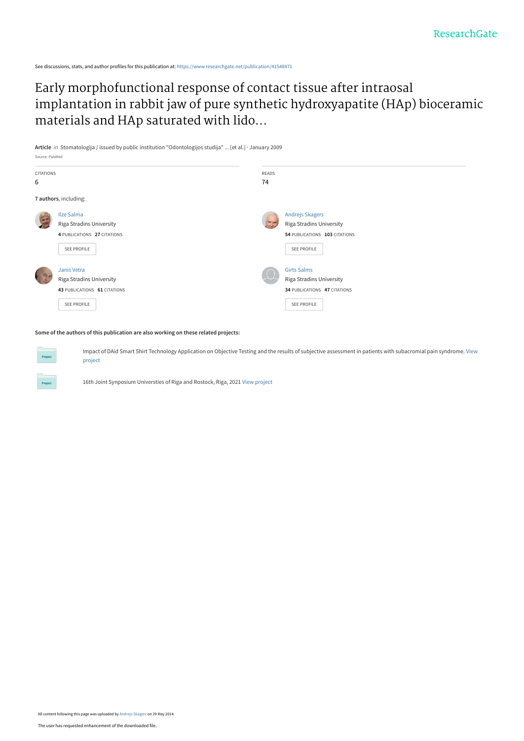See discussions, stats, and author profiles for this publication at: [https://www.researchgate.net/publication/41548471](https://www.researchgate.net/publication/41548471_Early_morphofunctional_response_of_contact_tissue_after_intraosal_implantation_in_rabbit_jaw_of_pure_synthetic_hydroxyapatite_HAp_bioceramic_materials_and_HAp_saturated_with_lidocaine?enrichId=rgreq-f2243afea9398694ac9e9ebfedb54a25-XXX&enrichSource=Y292ZXJQYWdlOzQxNTQ4NDcxO0FTOjEwMjA3ODc4OTcxODAyN0AxNDAxMzQ4ODg5MDI4&el=1_x_2&_esc=publicationCoverPdf)

## Early morphofunctional response of contact tissue after intraosal [implantation in rabbit jaw of pure synthetic hydroxyapatite \(HAp\) bioceramic](https://www.researchgate.net/publication/41548471_Early_morphofunctional_response_of_contact_tissue_after_intraosal_implantation_in_rabbit_jaw_of_pure_synthetic_hydroxyapatite_HAp_bioceramic_materials_and_HAp_saturated_with_lidocaine?enrichId=rgreq-f2243afea9398694ac9e9ebfedb54a25-XXX&enrichSource=Y292ZXJQYWdlOzQxNTQ4NDcxO0FTOjEwMjA3ODc4OTcxODAyN0AxNDAxMzQ4ODg5MDI4&el=1_x_3&_esc=publicationCoverPdf) materials and HAp saturated with lido...

**Article** in Stomatologija / issued by public institution "Odontologijos studija" ... [et al.] · January 2009 Source: PubMed



#### **Some of the authors of this publication are also working on these related projects:**

[Impact of DAid Smart Shirt Technology Application on Objective Testing and the results of subjective assessment in patients with subacromial pain syndrome.](https://www.researchgate.net/project/Impact-of-DAid-Smart-Shirt-Technology-Application-on-Objective-Testing-and-the-results-of-subjective-assessment-in-patients-with-subacromial-pain-syndrome?enrichId=rgreq-f2243afea9398694ac9e9ebfedb54a25-XXX&enrichSource=Y292ZXJQYWdlOzQxNTQ4NDcxO0FTOjEwMjA3ODc4OTcxODAyN0AxNDAxMzQ4ODg5MDI4&el=1_x_9&_esc=publicationCoverPdf) View project

16th Joint Synposium Universties of Riga and Rostock, Riga, 2021 [View project](https://www.researchgate.net/project/16th-Joint-Synposium-Universties-of-Riga-and-Rostock-Riga-2021?enrichId=rgreq-f2243afea9398694ac9e9ebfedb54a25-XXX&enrichSource=Y292ZXJQYWdlOzQxNTQ4NDcxO0FTOjEwMjA3ODc4OTcxODAyN0AxNDAxMzQ4ODg5MDI4&el=1_x_9&_esc=publicationCoverPdf)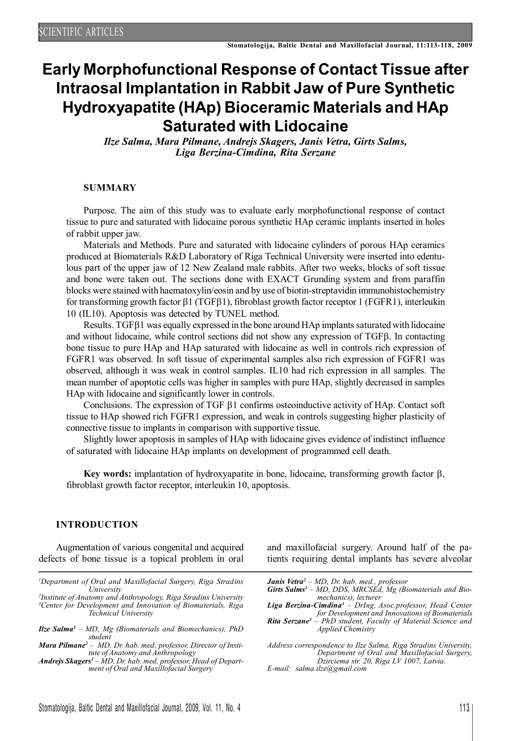# **Early Morphofunctional Response of Contact Tissue after Intraosal Implantation in Rabbit Jaw of Pure Synthetic Hydroxyapatite (HAp) Bioceramic Materials and HAp Saturated with Lidocaine**

*Ilze Salma, Mara Pilmane, Andrejs Skagers, Janis Vetra, Girts Salms, Liga Berzina-Cimdina, Rita Serzane*

#### **SUMMARY**

Purpose. The aim of this study was to evaluate early morphofunctional response of contact tissue to pure and saturated with lidocaine porous synthetic HAp ceramic implants inserted in holes of rabbit upper jaw.

Materials and Methods. Pure and saturated with lidocaine cylinders of porous HAp ceramics produced at Biomaterials R&D Laboratory of Riga Technical University were inserted into edentulous part of the upper jaw of 12 New Zealand male rabbits. After two weeks, blocks of soft tissue and bone were taken out. The sections done with EXACT Grunding system and from paraffin blocks were stained with haematoxylin/eosin and by use of biotin-streptavidin immunohistochemistry for transforming growth factor  $\beta1$  (TGF $\beta1$ ), fibroblast growth factor receptor 1 (FGFR1), interleukin 10 (IL10). Apoptosis was detected by TUNEL method.

Results.  $TGF\beta1$  was equally expressed in the bone around HAp implants saturated with lidocaine and without lidocaine, while control sections did not show any expression of  $TGF\beta$ . In contacting bone tissue to pure HAp and HAp saturated with lidocaine as well in controls rich expression of FGFR1 was observed. In soft tissue of experimental samples also rich expression of FGFR1 was observed, although it was weak in control samples. IL10 had rich expression in all samples. The mean number of apoptotic cells was higher in samples with pure HAp, slightly decreased in samples HAp with lidocaine and significantly lower in controls.

Conclusions. The expression of TGF  $\beta$ 1 confirms osteoinductive activity of HAp. Contact soft tissue to HAp showed rich FGFR1 expression, and weak in controls suggesting higher plasticity of connective tissue to implants in comparison with supportive tissue.

Slightly lower apoptosis in samples of HAp with lidocaine gives evidence of indistinct influence of saturated with lidocaine HAp implants on development of programmed cell death.

**Key words:** implantation of hydroxyapatite in bone, lidocaine, transforming growth factor  $\beta$ , fibroblast growth factor receptor, interleukin 10, apoptosis.

#### **INTRODUCTION**

Augmentation of various congenital and acquired defects of bone tissue is a topical problem in oral

*<sup>1</sup>Department of Oral and Maxillofacial Surgery, Riga Stradins University*

*2 Institute of Anatomy and Anthropology, Riga Stradins University <sup>3</sup>Center for Development and Innovation of Biomaterials, Riga Technical University*

- *Ilze Salma<sup>1</sup> – MD, Mg (Biomaterials and Biomechanics), PhD student*
- *Mara Pilmane<sup>2</sup> – MD, Dr. hab. med, professor, Director of Institute of Anatomy and Anthropology*
- *Andrejs Skagers<sup>1</sup> – MD, Dr. hab. med, professor, Head of Department of Oral and Maxillofacial Surgery*

and maxillofacial surgery. Around half of the patients requiring dental implants has severe alveolar

- *Janis Vetra<sup>2</sup> – MD, Dr. hab. med., professor*
- *Girts Salms<sup>1</sup> – MD, DDS, MRCSEd, Mg (Biomaterials and Biomechanics), lecturer*

*Liga Berzina-Cimdina<sup>3</sup> – DrIng, Asoc.professor, Head Center for Development and Innovations of Biomaterials Rita Serzane<sup>3</sup> – PhD student, Faculty of Material Science and Applied Chemistry*

*Address correspondence to Ilze Salma, Riga Stradins University, Department of Oral and Maxillofacial Surgery, Dzirciema str. 20, Riga LV 1007, Latvia.*

*E-mail: salma.ilze@gmail.com*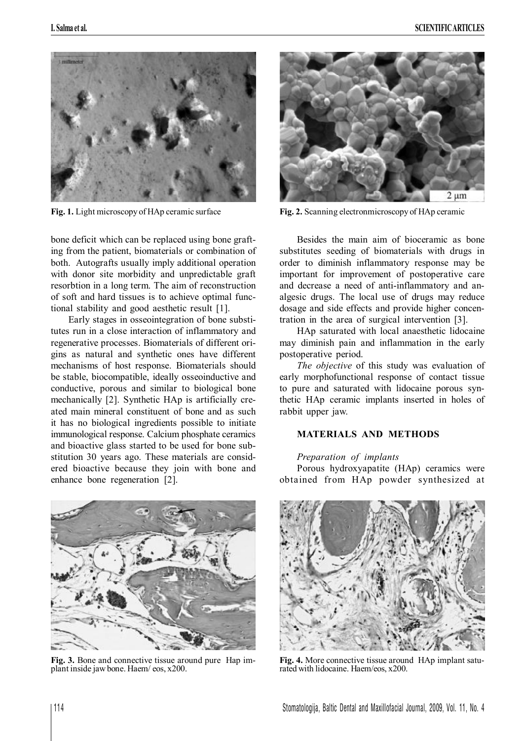

**Fig. 1.** Light microscopy of HAp ceramic surface **Fig. 2.** Scanning electronmicroscopy of HAp ceramic

bone deficit which can be replaced using bone grafting from the patient, biomaterials or combination of both. Autografts usually imply additional operation with donor site morbidity and unpredictable graft resorbtion in a long term. The aim of reconstruction of soft and hard tissues is to achieve optimal functional stability and good aesthetic result [1].

Early stages in osseointegration of bone substitutes run in a close interaction of inflammatory and regenerative processes. Biomaterials of different origins as natural and synthetic ones have different mechanisms of host response. Biomaterials should be stable, biocompatible, ideally osseoinductive and conductive, porous and similar to biological bone mechanically [2]. Synthetic HAp is artificially created main mineral constituent of bone and as such it has no biological ingredients possible to initiate immunological response. Calcium phosphate ceramics and bioactive glass started to be used for bone substitution 30 years ago. These materials are considered bioactive because they join with bone and enhance bone regeneration [2].



**Fig. 3.** Bone and connective tissue around pure Hap implant inside jawbone. Haem/ eos, x200.



Besides the main aim of bioceramic as bone substitutes seeding of biomaterials with drugs in order to diminish inflammatory response may be important for improvement of postoperative care and decrease a need of anti-inflammatory and analgesic drugs. The local use of drugs may reduce dosage and side effects and provide higher concentration in the area of surgical intervention [3].

HAp saturated with local anaesthetic lidocaine may diminish pain and inflammation in the early postoperative period.

*The objective* of this study was evaluation of early morphofunctional response of contact tissue to pure and saturated with lidocaine porous synthetic HAp ceramic implants inserted in holes of rabbit upper jaw.

#### **MATERIALS AND METHODS**

#### *Preparation of implants*

Porous hydroxyapatite (HAp) ceramics were obtained from HAp powder synthesized at



**Fig. 4.** More connective tissue around HAp implant saturated with lidocaine. Haem/eos, x200.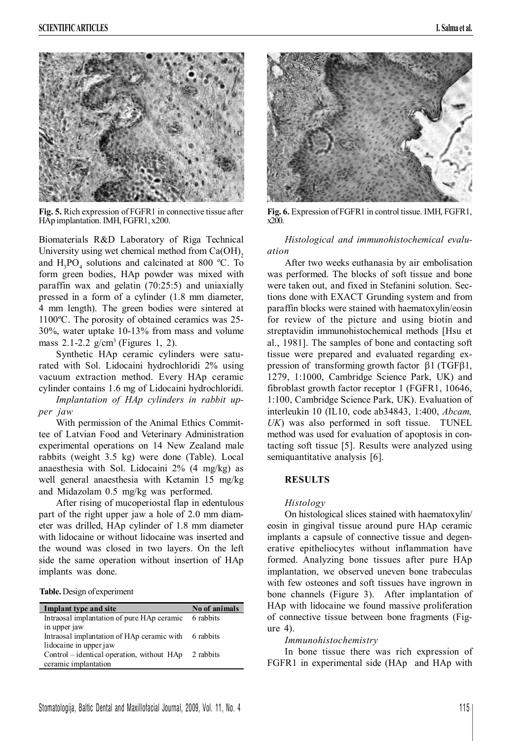

**Fig. 5.** Rich expression of FGFR1 in connective tissue after HAp implantation.IMH, FGFR1, x200.

Biomaterials R&D Laboratory of Riga Technical University using wet chemical method from  $Ca(OH)$ , and  $H_3PO_4$  solutions and calcinated at 800 °C. To form green bodies, HAp powder was mixed with paraffin wax and gelatin (70:25:5) and uniaxially pressed in a form of a cylinder (1.8 mm diameter, 4 mm length). The green bodies were sintered at 1100ºC. The porosity of obtained ceramics was 25- 30%, water uptake 10-13% from mass and volume mass  $2.1$ -2.2 g/cm<sup>3</sup> (Figures 1, 2).

Synthetic HAp ceramic cylinders were saturated with Sol. Lidocaini hydrochloridi 2% using vacuum extraction method. Every HAp ceramic cylinder contains 1.6 mg of Lidocaini hydrochloridi.

*Implantation of HAp cylinders in rabbit upper jaw*

With permission of the Animal Ethics Committee of Latvian Food and Veterinary Administration experimental operations on 14 New Zealand male rabbits (weight 3.5 kg) were done (Table). Local anaesthesia with Sol. Lidocaini 2% (4 mg/kg) as well general anaesthesia with Ketamin 15 mg/kg and Midazolam 0.5 mg/kg was performed.

After rising of mucoperiostal flap in edentulous part of the right upper jaw a hole of 2.0 mm diameter was drilled, HAp cylinder of 1.8 mm diameter with lidocaine or without lidocaine was inserted and the wound was closed in two layers. On the left side the same operation without insertion of HAp implants was done.

**Table.** Design ofexperiment

| Implant type and site                      | No of animals |
|--------------------------------------------|---------------|
| Intraosal implantation of pure HAp ceramic | 6 rabbits     |
| in upper jaw                               |               |
| Intraosal implantation of HAp ceramic with | 6 rabbits     |
| lidocaine in upper jaw                     |               |
| Control - identical operation, without HAp | 2 rabbits     |
| ceramic implantation                       |               |



**Fig. 6.** Expression of FGFR1 in control tissue. IMH, FGFR1,  $x200$ 

*Histological and immunohistochemical evaluation*

After two weeks euthanasia by air embolisation was performed. The blocks of soft tissue and bone were taken out, and fixed in Stefanini solution. Sections done with EXACT Grunding system and from paraffin blocks were stained with haematoxylin/eosin for review of the picture and using biotin and streptavidin immunohistochemical methods [Hsu et al., 1981]. The samples of bone and contacting soft tissue were prepared and evaluated regarding expression of transforming growth factor  $\beta$ 1 (TGF $\beta$ 1, 1279, 1:1000, Cambridge Science Park, UK) and fibroblast growth factor receptor 1 (FGFR1, 10646, 1:100, Cambridge Science Park, UK). Evaluation of interleukin 10 (IL10, code ab34843, 1:400, *Abcam, UK*) was also performed in soft tissue. TUNEL method was used for evaluation of apoptosis in contacting soft tissue [5]. Results were analyzed using semiquantitative analysis [6].

#### **RESULTS**

#### *Histology*

On histological slices stained with haematoxylin/ eosin in gingival tissue around pure HAp ceramic implants a capsule of connective tissue and degenerative epitheliocytes without inflammation have formed. Analyzing bone tissues after pure HAp implantation, we observed uneven bone trabeculas with few osteones and soft tissues have ingrown in bone channels (Figure 3). After implantation of HAp with lidocaine we found massive proliferation of connective tissue between bone fragments (Figure 4).

#### *Immunohistochemistry*

In bone tissue there was rich expression of FGFR1 in experimental side (HAp and HAp with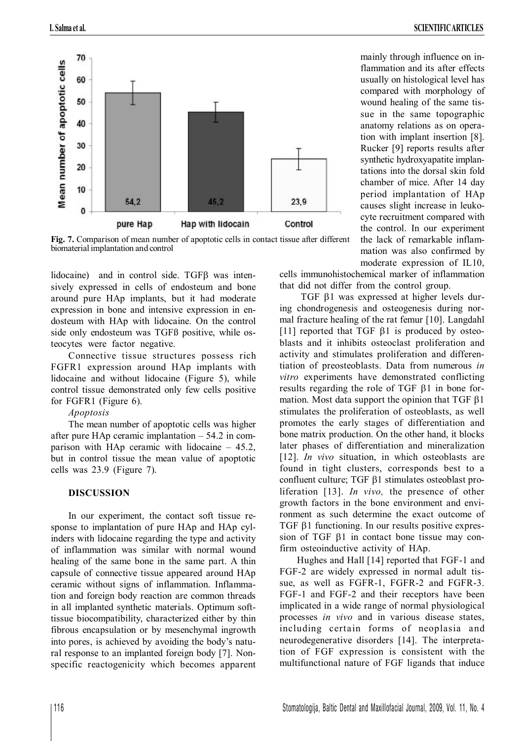

**Fig. 7.** Comparison of mean number of apoptotic cells in contact tissue after different biomaterial implantation and control

lidocaine) and in control side. TGFB was intensively expressed in cells of endosteum and bone around pure HAp implants, but it had moderate expression in bone and intensive expression in endosteum with HAp with lidocaine. On the control side only endosteum was TGFß positive, while osteocytes were factor negative.

Connective tissue structures possess rich FGFR1 expression around HAp implants with lidocaine and without lidocaine (Figure 5), while control tissue demonstrated only few cells positive for FGFR1 (Figure 6).

#### *Apoptosis*

The mean number of apoptotic cells was higher after pure HAp ceramic implantation – 54.2 in comparison with HAp ceramic with lidocaine – 45.2, but in control tissue the mean value of apoptotic cells was 23.9 (Figure 7).

### **DISCUSSION**

In our experiment, the contact soft tissue response to implantation of pure HAp and HAp cylinders with lidocaine regarding the type and activity of inflammation was similar with normal wound healing of the same bone in the same part. A thin capsule of connective tissue appeared around HAp ceramic without signs of inflammation. Inflammation and foreign body reaction are common threads in all implanted synthetic materials. Optimum softtissue biocompatibility, characterized either by thin fibrous encapsulation or by mesenchymal ingrowth into pores, is achieved by avoiding the body's natural response to an implanted foreign body [7]. Nonspecific reactogenicity which becomes apparent mainly through influence on inflammation and its after effects usually on histological level has compared with morphology of wound healing of the same tissue in the same topographic anatomy relations as on operation with implant insertion [8]. Rucker [9] reports results after synthetic hydroxyapatite implantations into the dorsal skin fold chamber of mice. After 14 day period implantation of HAp causes slight increase in leukocyte recruitment compared with the control. In our experiment the lack of remarkable inflammation was also confirmed by moderate expression of IL10,

cells immunohistochemical marker of inflammation that did not differ from the control group.

TGF  $\beta$ 1 was expressed at higher levels during chondrogenesis and osteogenesis during normal fracture healing of the rat femur [10]. Langdahl [11] reported that TGF  $\beta$ 1 is produced by osteoblasts and it inhibits osteoclast proliferation and activity and stimulates proliferation and differentiation of preosteoblasts. Data from numerous *in vitro* experiments have demonstrated conflicting results regarding the role of TGF  $\beta$ 1 in bone formation. Most data support the opinion that  $TGF \beta1$ stimulates the proliferation of osteoblasts, as well promotes the early stages of differentiation and bone matrix production. On the other hand, it blocks later phases of differentiation and mineralization [12]. *In vivo* situation, in which osteoblasts are found in tight clusters, corresponds best to a confluent culture; TGF  $\beta$ 1 stimulates osteoblast proliferation [13]. *In vivo,* the presence of other growth factors in the bone environment and environment as such determine the exact outcome of  $TGF \beta1$  functioning. In our results positive expression of TGF  $\beta$ 1 in contact bone tissue may confirm osteoinductive activity of HAp.

Hughes and Hall [14] reported that FGF-1 and FGF-2 are widely expressed in normal adult tissue, as well as FGFR-1, FGFR-2 and FGFR-3. FGF-1 and FGF-2 and their receptors have been implicated in a wide range of normal physiological processes *in vivo* and in various disease states, including certain forms of neoplasia and neurodegenerative disorders [14]. The interpretation of FGF expression is consistent with the multifunctional nature of FGF ligands that induce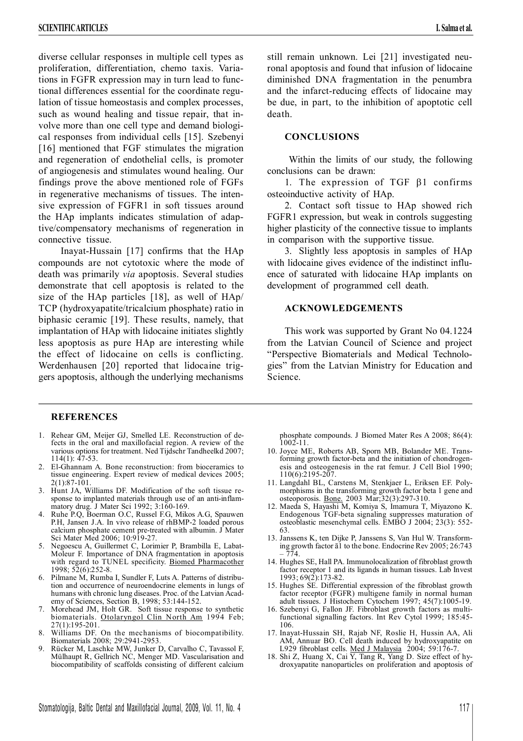diverse cellular responses in multiple cell types as proliferation, differentiation, chemo taxis. Variations in FGFR expression may in turn lead to functional differences essential for the coordinate regulation of tissue homeostasis and complex processes, such as wound healing and tissue repair, that involve more than one cell type and demand biological responses from individual cells [15]. Szebenyi [16] mentioned that FGF stimulates the migration and regeneration of endothelial cells, is promoter of angiogenesis and stimulates wound healing. Our findings prove the above mentioned role of FGFs in regenerative mechanisms of tissues. The intensive expression of FGFR1 in soft tissues around the HAp implants indicates stimulation of adaptive/compensatory mechanisms of regeneration in connective tissue.

Inayat-Hussain [17] confirms that the HAp compounds are not cytotoxic where the mode of death was primarily *via* apoptosis. Several studies demonstrate that cell apoptosis is related to the size of the HAp particles [18], as well of HAp/ TCP (hydroxyapatite/tricalcium phosphate) ratio in biphasic ceramic [19]. These results, namely, that implantation of HAp with lidocaine initiates slightly less apoptosis as pure HAp are interesting while the effect of lidocaine on cells is conflicting. Werdenhausen [20] reported that lidocaine triggers apoptosis, although the underlying mechanisms still remain unknown. Lei [21] investigated neuronal apoptosis and found that infusion of lidocaine diminished DNA fragmentation in the penumbra and the infarct-reducing effects of lidocaine may be due, in part, to the inhibition of apoptotic cell death.

#### **CONCLUSIONS**

Within the limits of our study, the following conclusions can be drawn:

1. The expression of TGF  $\beta$ 1 confirms osteoinductive activity of HAp.

2. Contact soft tissue to HAp showed rich FGFR1 expression, but weak in controls suggesting higher plasticity of the connective tissue to implants in comparison with the supportive tissue.

3. Slightly less apoptosis in samples of HAp with lidocaine gives evidence of the indistinct influence of saturated with lidocaine HAp implants on development of programmed cell death.

#### **ACKNOWLEDGEMENTS**

This work was supported by Grant No 04.1224 from the Latvian Council of Science and project "Perspective Biomaterials and Medical Technologies" from the Latvian Ministry for Education and Science.

#### **REFERENCES**

- 1. Rehear GM, Meijer GJ, Smelled LE. Reconstruction of defects in the oral and maxillofacial region. A review of the various options for treatment. Ned Tijdschr Tandheelkd 2007; 114(1): 47-53.
- 2. El-Ghannam A. Bone reconstruction: from bioceramics to tissue engineering. Expert review of medical devices 2005; 2(1):87-101.
- 3. Hunt JA, Williams DF. Modification of the soft tissue response to implanted materials through use of an anti-inflammatory drug. J Mater Sci 1992; 3:160-169.
- 4. Ruhe P.Q, Boerman O.C, Russel F.G, Mikos A.G, Spauwen P.H, Jansen J.A. In vivo release of rhBMP-2 loaded porous calcium phosphate cement pre-treated with albumin. J Mater Sci Mater Med 2006; 10:919-27.
- 5. Negoescu A, Guillermet C, Lorimier P, Brambilla E, Labat-Moleur F. Importance of DNA fragmentation in apoptosis with regard to TUNEL specificity. Biomed Pharmacother 1998; 52(6):252-8.
- 6. Pilmane M, Rumba I, Sundler F, Luts A. Patterns of distribution and occurrence of neuroendocrine elements in lungs of humans with chronic lung diseases. Proc. of the Latvian Academy of Sciences, Section B, 1998; 53:144-152.
- 7. Morehead JM, Holt GR. Soft tissue response to synthetic biomaterials. Otolaryngol Clin North Am 1994 Feb; 27(1):195-201.
- 8. Williams DF. On the mechanisms of biocompatibility. Biomaterials 2008; 29:2941-2953.
- 9. Rücker M, Laschke MW, Junker D, Carvalho C, Tavassol F, Mülhaupt R, Gellrich NC, Menger MD. Vascularisation and biocompatibility of scaffolds consisting of different calcium

phosphate compounds. J Biomed Mater Res A 2008; 86(4): 1002-11.

- 10. Joyce ME, Roberts AB, Sporn MB, Bolander ME. Transforming growth factor-beta and the initiation of chondrogenesis and osteogenesis in the rat femur. J Cell Biol 1990; 110(6):2195-207.
- 11. Langdahl BL, Carstens M, Stenkjaer L, Eriksen EF. Polymorphisms in the transforming growth factor beta 1 gene and osteoporosis. Bone. 2003 Mar;32(3):297-310.
- 12. Maeda S, Hayashi M, Komiya S, Imamura T, Miyazono K. Endogenous TGF-beta signaling suppresses maturation of osteoblastic mesenchymal cells. EMBO J 2004; 23(3): 552- 63.
- 13. Janssens K, ten Dijke P, Janssens S, Van Hul W. Transforming growth factor ā1 to the bone. Endocrine Rev 2005; 26:743 – 774.
- 14. Hughes SE, Hall PA. Immunolocalization of fibroblast growth factor receptor 1 and its ligands in human tissues. Lab Invest 1993; 69(2):173-82.
- 15. Hughes SE. Differential expression of the fibroblast growth factor receptor (FGFR) multigene family in normal human adult tissues. J Histochem Cytochem 1997; 45(7):1005-19.
- 16. Szebenyi G, Fallon JF. Fibroblast growth factors as multifunctional signalling factors. Int Rev Cytol 1999; 185:45- 106.
- 17. Inayat-Hussain SH, Rajab NF, Roslie H, Hussin AA, Ali AM, Annuar BO. Cell death induced by hydroxyapatite on L929 fibroblast cells. Med J Malaysia 2004; 59:176-7
- 18. Shi Z, Huang X, Cai  $\overline{Y}$ , Tang R, Yang D. Size effect of hydroxyapatite nanoparticles on proliferation and apoptosis of